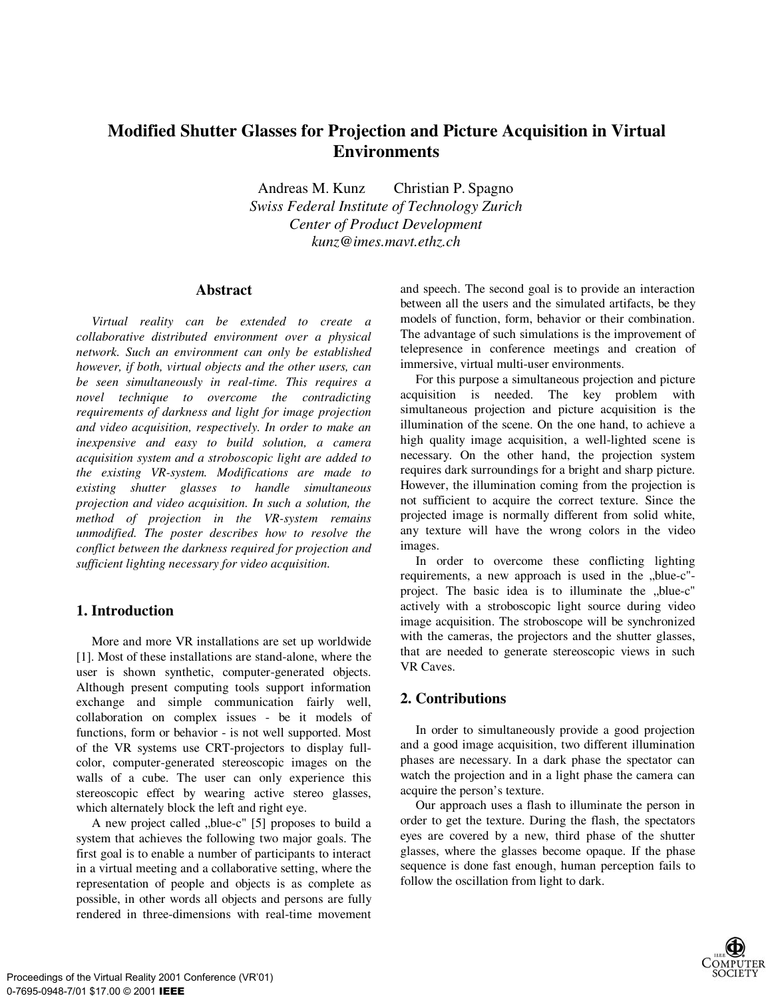# **Modified Shutter Glasses for Projection and Picture Acquisition in Virtual Environments**

Andreas M. Kunz Christian P. Spagno *Swiss Federal Institute of Technology Zurich Center of Product Development kunz@imes.mavt.ethz.ch*

#### **Abstract**

*Virtual reality can be extended to create a collaborative distributed environment over a physical network. Such an environment can only be established however, if both, virtual objects and the other users, can be seen simultaneously in real-time. This requires a novel technique to overcome the contradicting requirements of darkness and light for image projection and video acquisition, respectively. In order to make an inexpensive and easy to build solution, a camera acquisition system and a stroboscopic light are added to the existing VR-system. Modifications are made to existing shutter glasses to handle simultaneous projection and video acquisition. In such a solution, the method of projection in the VR-system remains unmodified. The poster describes how to resolve the conflict between the darkness required for projection and sufficient lighting necessary for video acquisition.*

### **1. Introduction**

More and more VR installations are set up worldwide [1]. Most of these installations are stand-alone, where the user is shown synthetic, computer-generated objects. Although present computing tools support information exchange and simple communication fairly well, collaboration on complex issues - be it models of functions, form or behavior - is not well supported. Most of the VR systems use CRT-projectors to display fullcolor, computer-generated stereoscopic images on the walls of a cube. The user can only experience this stereoscopic effect by wearing active stereo glasses, which alternately block the left and right eye.

A new project called "blue-c" [5] proposes to build a system that achieves the following two major goals. The first goal is to enable a number of participants to interact in a virtual meeting and a collaborative setting, where the representation of people and objects is as complete as possible, in other words all objects and persons are fully rendered in three-dimensions with real-time movement

and speech. The second goal is to provide an interaction between all the users and the simulated artifacts, be they models of function, form, behavior or their combination. The advantage of such simulations is the improvement of telepresence in conference meetings and creation of immersive, virtual multi-user environments.

For this purpose a simultaneous projection and picture acquisition is needed. The key problem with simultaneous projection and picture acquisition is the illumination of the scene. On the one hand, to achieve a high quality image acquisition, a well-lighted scene is necessary. On the other hand, the projection system requires dark surroundings for a bright and sharp picture. However, the illumination coming from the projection is not sufficient to acquire the correct texture. Since the projected image is normally different from solid white, any texture will have the wrong colors in the video images.

In order to overcome these conflicting lighting requirements, a new approach is used in the "blue-c"project. The basic idea is to illuminate the "blue-c" actively with a stroboscopic light source during video image acquisition. The stroboscope will be synchronized with the cameras, the projectors and the shutter glasses, that are needed to generate stereoscopic views in such VR Caves.

## **2. Contributions**

In order to simultaneously provide a good projection and a good image acquisition, two different illumination phases are necessary. In a dark phase the spectator can watch the projection and in a light phase the camera can acquire the person's texture.

Our approach uses a flash to illuminate the person in order to get the texture. During the flash, the spectators eyes are covered by a new, third phase of the shutter glasses, where the glasses become opaque. If the phase sequence is done fast enough, human perception fails to follow the oscillation from light to dark.